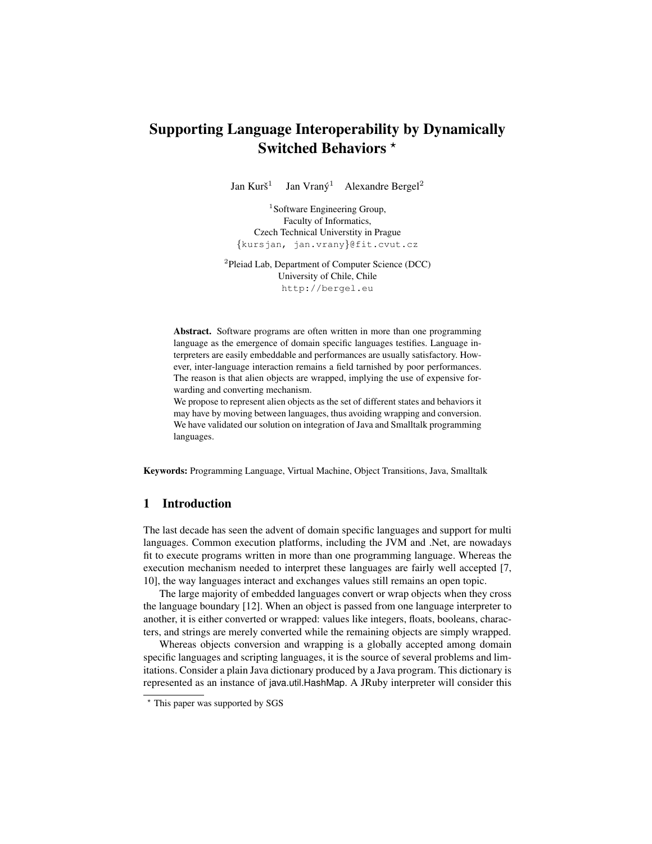# Supporting Language Interoperability by Dynamically Switched Behaviors \*

Jan Kurš $^1$ Jan Vraný<sup>1</sup> Alexandre Bergel<sup>2</sup>

1 [Software Engineering Group,](http://swing.fit.cvut.cz/) Faculty of Informatics, Czech Technical Universtity in Prague {kursjan, jan.vrany}@fit.cvut.cz

<sup>2</sup> Pleiad Lab, Department of Computer Science (DCC) University of Chile, Chile <http://bergel.eu>

Abstract. Software programs are often written in more than one programming language as the emergence of domain specific languages testifies. Language interpreters are easily embeddable and performances are usually satisfactory. However, inter-language interaction remains a field tarnished by poor performances. The reason is that alien objects are wrapped, implying the use of expensive forwarding and converting mechanism.

We propose to represent alien objects as the set of different states and behaviors it may have by moving between languages, thus avoiding wrapping and conversion. We have validated our solution on integration of Java and Smalltalk programming languages.

Keywords: Programming Language, Virtual Machine, Object Transitions, Java, Smalltalk

# 1 Introduction

The last decade has seen the advent of domain specific languages and support for multi languages. Common execution platforms, including the JVM and .Net, are nowadays fit to execute programs written in more than one programming language. Whereas the execution mechanism needed to interpret these languages are fairly well accepted [\[7,](#page-11-0) [10\]](#page-11-1), the way languages interact and exchanges values still remains an open topic.

The large majority of embedded languages convert or wrap objects when they cross the language boundary [\[12\]](#page-11-2). When an object is passed from one language interpreter to another, it is either converted or wrapped: values like integers, floats, booleans, characters, and strings are merely converted while the remaining objects are simply wrapped.

Whereas objects conversion and wrapping is a globally accepted among domain specific languages and scripting languages, it is the source of several problems and limitations. Consider a plain Java dictionary produced by a Java program. This dictionary is represented as an instance of java.util.HashMap. A JRuby interpreter will consider this

<sup>?</sup> This paper was supported by SGS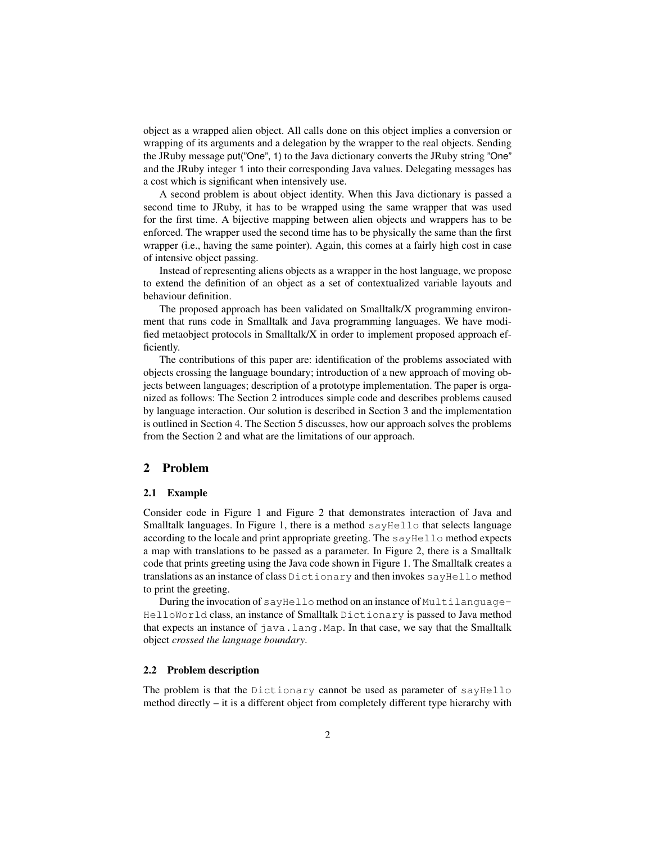object as a wrapped alien object. All calls done on this object implies a conversion or wrapping of its arguments and a delegation by the wrapper to the real objects. Sending the JRuby message put("One", 1) to the Java dictionary converts the JRuby string "One" and the JRuby integer 1 into their corresponding Java values. Delegating messages has a cost which is significant when intensively use.

A second problem is about object identity. When this Java dictionary is passed a second time to JRuby, it has to be wrapped using the same wrapper that was used for the first time. A bijective mapping between alien objects and wrappers has to be enforced. The wrapper used the second time has to be physically the same than the first wrapper (i.e., having the same pointer). Again, this comes at a fairly high cost in case of intensive object passing.

Instead of representing aliens objects as a wrapper in the host language, we propose to extend the definition of an object as a set of contextualized variable layouts and behaviour definition.

The proposed approach has been validated on Smalltalk/X programming environment that runs code in Smalltalk and Java programming languages. We have modified metaobject protocols in Smalltalk/X in order to implement proposed approach efficiently.

The contributions of this paper are: identification of the problems associated with objects crossing the language boundary; introduction of a new approach of moving objects between languages; description of a prototype implementation. The paper is organized as follows: The Section [2](#page-1-0) introduces simple code and describes problems caused by language interaction. Our solution is described in Section [3](#page-3-0) and the implementation is outlined in Section [4.](#page-5-0) The Section [5](#page-7-0) discusses, how our approach solves the problems from the Section [2](#page-1-0) and what are the limitations of our approach.

# <span id="page-1-0"></span>2 Problem

#### <span id="page-1-1"></span>2.1 Example

Consider code in Figure [1](#page-2-0) and Figure [2](#page-2-1) that demonstrates interaction of Java and Smalltalk languages. In Figure [1,](#page-2-0) there is a method sayHello that selects language according to the locale and print appropriate greeting. The sayHello method expects a map with translations to be passed as a parameter. In Figure [2,](#page-2-1) there is a Smalltalk code that prints greeting using the Java code shown in Figure [1.](#page-2-0) The Smalltalk creates a translations as an instance of class Dictionary and then invokes sayHello method to print the greeting.

During the invocation of say Hello method on an instance of Multilanguage-HelloWorld class, an instance of Smalltalk Dictionary is passed to Java method that expects an instance of java.lang.Map. In that case, we say that the Smalltalk object *crossed the language boundary*.

#### 2.2 Problem description

The problem is that the Dictionary cannot be used as parameter of sayHello method directly – it is a different object from completely different type hierarchy with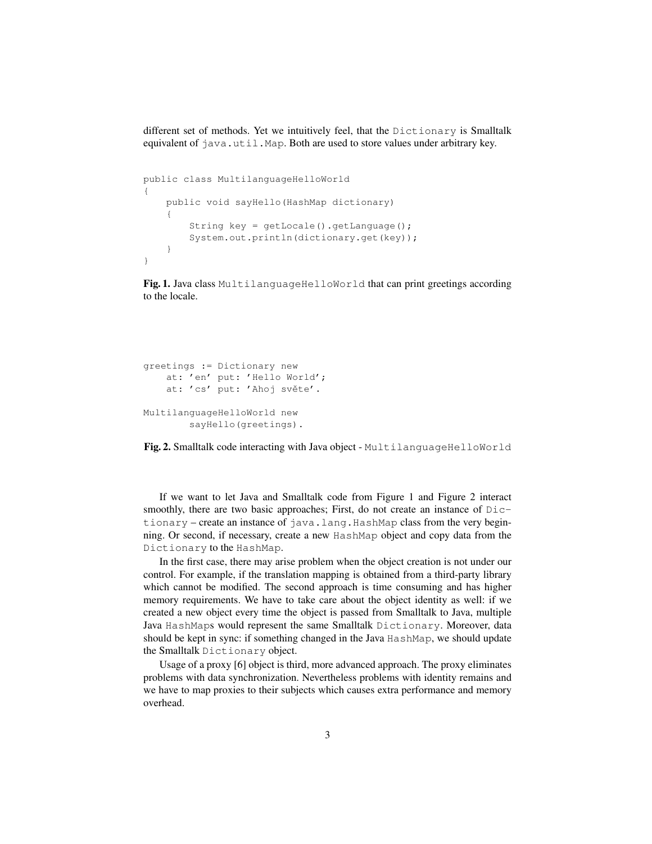different set of methods. Yet we intuitively feel, that the Dictionary is Smalltalk equivalent of java.util.Map. Both are used to store values under arbitrary key.

```
public class MultilanguageHelloWorld
{
    public void sayHello(HashMap dictionary)
    {
        String key = getLocale().getLanguage();
        System.out.println(dictionary.get(key));
    }
}
```
<span id="page-2-0"></span>Fig. 1. Java class MultilanguageHelloWorld that can print greetings according to the locale.

```
greetings := Dictionary new
    at: 'en' put: 'Hello World';
    at: 'cs' put: 'Ahoj světe'.
MultilanguageHelloWorld new
        sayHello(greetings).
```
<span id="page-2-1"></span>Fig. 2. Smalltalk code interacting with Java object - MultilanguageHelloWorld

If we want to let Java and Smalltalk code from Figure [1](#page-2-0) and Figure [2](#page-2-1) interact smoothly, there are two basic approaches; First, do not create an instance of Dictionary – create an instance of java.lang.HashMap class from the very beginning. Or second, if necessary, create a new HashMap object and copy data from the Dictionary to the HashMap.

In the first case, there may arise problem when the object creation is not under our control. For example, if the translation mapping is obtained from a third-party library which cannot be modified. The second approach is time consuming and has higher memory requirements. We have to take care about the object identity as well: if we created a new object every time the object is passed from Smalltalk to Java, multiple Java HashMaps would represent the same Smalltalk Dictionary. Moreover, data should be kept in sync: if something changed in the Java HashMap, we should update the Smalltalk Dictionary object.

Usage of a proxy [\[6\]](#page-11-3) object is third, more advanced approach. The proxy eliminates problems with data synchronization. Nevertheless problems with identity remains and we have to map proxies to their subjects which causes extra performance and memory overhead.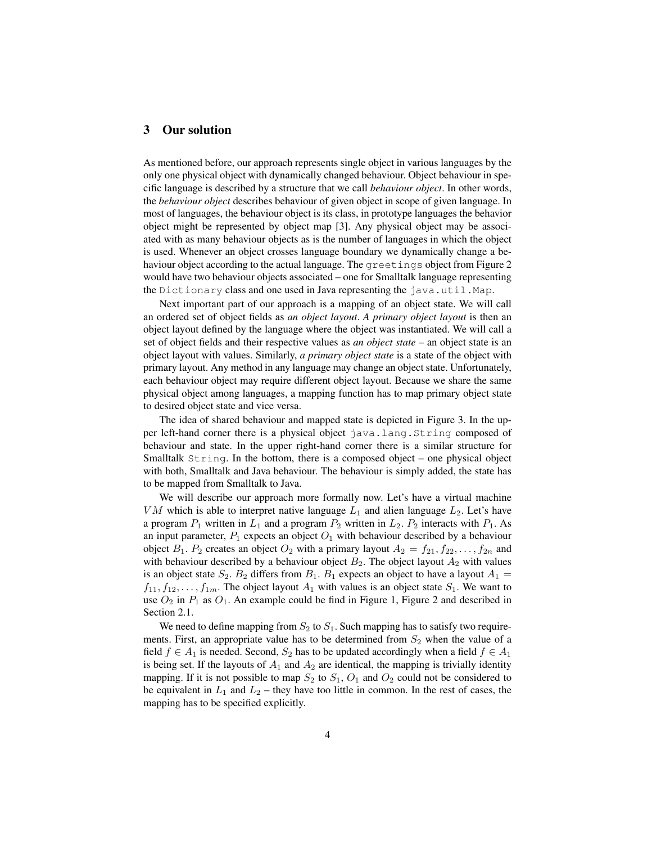### <span id="page-3-0"></span>3 Our solution

As mentioned before, our approach represents single object in various languages by the only one physical object with dynamically changed behaviour. Object behaviour in specific language is described by a structure that we call *behaviour object*. In other words, the *behaviour object* describes behaviour of given object in scope of given language. In most of languages, the behaviour object is its class, in prototype languages the behavior object might be represented by object map [\[3\]](#page-11-4). Any physical object may be associated with as many behaviour objects as is the number of languages in which the object is used. Whenever an object crosses language boundary we dynamically change a be-haviour object according to the actual language. The greetings object from Figure [2](#page-2-1) would have two behaviour objects associated – one for Smalltalk language representing the Dictionary class and one used in Java representing the java.util.Map.

Next important part of our approach is a mapping of an object state. We will call an ordered set of object fields as *an object layout*. *A primary object layout* is then an object layout defined by the language where the object was instantiated. We will call a set of object fields and their respective values as *an object state* – an object state is an object layout with values. Similarly, *a primary object state* is a state of the object with primary layout. Any method in any language may change an object state. Unfortunately, each behaviour object may require different object layout. Because we share the same physical object among languages, a mapping function has to map primary object state to desired object state and vice versa.

The idea of shared behaviour and mapped state is depicted in Figure [3.](#page-4-0) In the upper left-hand corner there is a physical object java.lang.String composed of behaviour and state. In the upper right-hand corner there is a similar structure for Smalltalk String. In the bottom, there is a composed object – one physical object with both, Smalltalk and Java behaviour. The behaviour is simply added, the state has to be mapped from Smalltalk to Java.

We will describe our approach more formally now. Let's have a virtual machine VM which is able to interpret native language  $L_1$  and alien language  $L_2$ . Let's have a program  $P_1$  written in  $L_1$  and a program  $P_2$  written in  $L_2$ .  $P_2$  interacts with  $P_1$ . As an input parameter,  $P_1$  expects an object  $O_1$  with behaviour described by a behaviour object  $B_1$ .  $P_2$  creates an object  $O_2$  with a primary layout  $A_2 = f_{21}, f_{22}, \ldots, f_{2n}$  and with behaviour described by a behaviour object  $B_2$ . The object layout  $A_2$  with values is an object state  $S_2$ .  $B_2$  differs from  $B_1$ .  $B_1$  expects an object to have a layout  $A_1$  =  $f_{11}, f_{12}, \ldots, f_{1m}$ . The object layout  $A_1$  with values is an object state  $S_1$ . We want to use  $O_2$  in  $P_1$  as  $O_1$ . An example could be find in Figure [1,](#page-2-0) Figure [2](#page-2-1) and described in Section [2.1.](#page-1-1)

We need to define mapping from  $S_2$  to  $S_1$ . Such mapping has to satisfy two requirements. First, an appropriate value has to be determined from  $S_2$  when the value of a field  $f \in A_1$  is needed. Second,  $S_2$  has to be updated accordingly when a field  $f \in A_1$ is being set. If the layouts of  $A_1$  and  $A_2$  are identical, the mapping is trivially identity mapping. If it is not possible to map  $S_2$  to  $S_1$ ,  $O_1$  and  $O_2$  could not be considered to be equivalent in  $L_1$  and  $L_2$  – they have too little in common. In the rest of cases, the mapping has to be specified explicitly.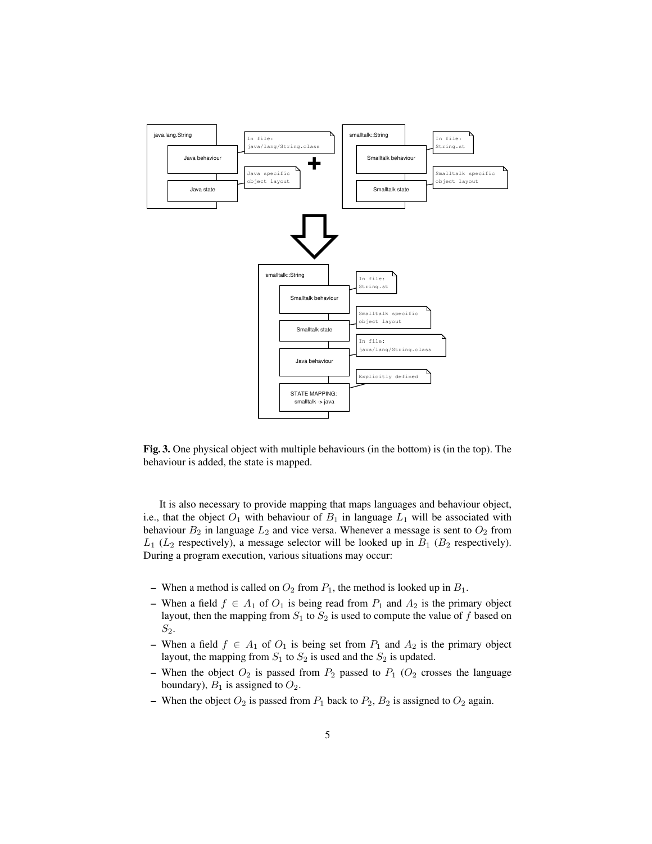

<span id="page-4-0"></span>Fig. 3. One physical object with multiple behaviours (in the bottom) is (in the top). The behaviour is added, the state is mapped.

It is also necessary to provide mapping that maps languages and behaviour object, i.e., that the object  $O_1$  with behaviour of  $B_1$  in language  $L_1$  will be associated with behaviour  $B_2$  in language  $L_2$  and vice versa. Whenever a message is sent to  $O_2$  from  $L_1$  ( $L_2$  respectively), a message selector will be looked up in  $B_1$  ( $B_2$  respectively). During a program execution, various situations may occur:

- When a method is called on  $O_2$  from  $P_1$ , the method is looked up in  $B_1$ .
- When a field  $f \in A_1$  of  $O_1$  is being read from  $P_1$  and  $A_2$  is the primary object layout, then the mapping from  $S_1$  to  $S_2$  is used to compute the value of f based on  $S_2$ .
- When a field  $f \in A_1$  of  $O_1$  is being set from  $P_1$  and  $A_2$  is the primary object layout, the mapping from  $S_1$  to  $S_2$  is used and the  $S_2$  is updated.
- When the object  $O_2$  is passed from  $P_2$  passed to  $P_1$  ( $O_2$  crosses the language boundary),  $B_1$  is assigned to  $O_2$ .
- When the object  $O_2$  is passed from  $P_1$  back to  $P_2$ ,  $B_2$  is assigned to  $O_2$  again.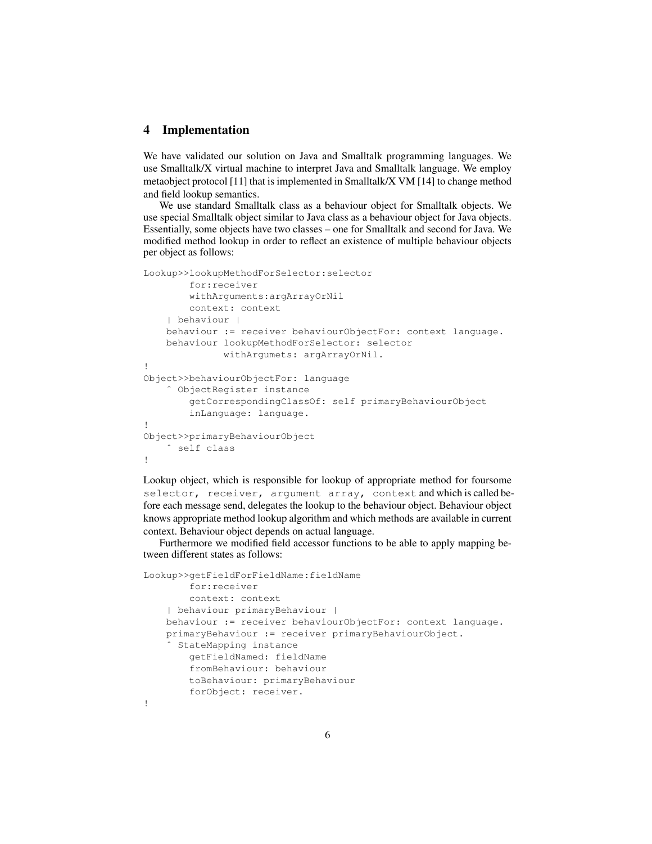### <span id="page-5-0"></span>4 Implementation

We have validated our solution on Java and Smalltalk programming languages. We use Smalltalk/X virtual machine to interpret Java and Smalltalk language. We employ metaobject protocol [\[11\]](#page-11-5) that is implemented in Smalltalk/X VM [\[14\]](#page-11-6) to change method and field lookup semantics.

We use standard Smalltalk class as a behaviour object for Smalltalk objects. We use special Smalltalk object similar to Java class as a behaviour object for Java objects. Essentially, some objects have two classes – one for Smalltalk and second for Java. We modified method lookup in order to reflect an existence of multiple behaviour objects per object as follows:

```
Lookup>>lookupMethodForSelector:selector
        for:receiver
        withArguments:argArrayOrNil
        context: context
    | behaviour |
    behaviour := receiver behaviourObjectFor: context language.
    behaviour lookupMethodForSelector: selector
              withArgumets: argArrayOrNil.
!
Object>>behaviourObjectFor: language
    ˆ ObjectRegister instance
        getCorrespondingClassOf: self primaryBehaviourObject
        inLanguage: language.
!
Object>>primaryBehaviourObject
    ˆ self class
!
```
Lookup object, which is responsible for lookup of appropriate method for foursome selector, receiver, argument array, context and which is called before each message send, delegates the lookup to the behaviour object. Behaviour object knows appropriate method lookup algorithm and which methods are available in current context. Behaviour object depends on actual language.

Furthermore we modified field accessor functions to be able to apply mapping between different states as follows:

```
Lookup>>getFieldForFieldName:fieldName
       for:receiver
        context: context
    | behaviour primaryBehaviour |
    behaviour := receiver behaviourObjectFor: context language.
    primaryBehaviour := receiver primaryBehaviourObject.
    ˆ StateMapping instance
        getFieldNamed: fieldName
        fromBehaviour: behaviour
        toBehaviour: primaryBehaviour
        forObject: receiver.
!
```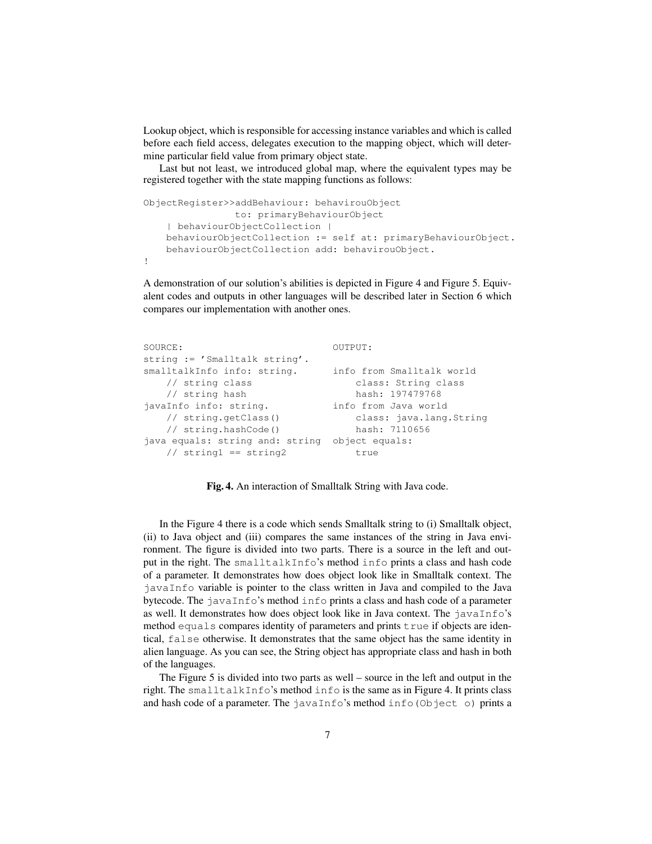Lookup object, which is responsible for accessing instance variables and which is called before each field access, delegates execution to the mapping object, which will determine particular field value from primary object state.

Last but not least, we introduced global map, where the equivalent types may be registered together with the state mapping functions as follows:

```
ObjectRegister>>addBehaviour: behavirouObject
                to: primaryBehaviourObject
    | behaviourObjectCollection |
   behaviourObjectCollection := self at: primaryBehaviourObject.
   behaviourObjectCollection add: behavirouObject.
!
```
A demonstration of our solution's abilities is depicted in Figure [4](#page-6-0) and Figure [5.](#page-7-1) Equivalent codes and outputs in other languages will be described later in Section [6](#page-8-0) which compares our implementation with another ones.

```
SOURCE:
string := 'Smalltalk string'.
smalltalkInfo info: string.
   // string class
   // string hash
javaInfo info: string.
   // string.getClass()
   // string.hashCode()
java equals: string and: string
object equals:
   // string1 == string2
                                OUTPUT:
                               info from Smalltalk world
                                   class: String class
                                   hash: 197479768
                              info from Java world
                                class: java.lang.String
                                  hash: 7110656
                                  true
```
<span id="page-6-0"></span>Fig. 4. An interaction of Smalltalk String with Java code.

In the Figure [4](#page-6-0) there is a code which sends Smalltalk string to (i) Smalltalk object, (ii) to Java object and (iii) compares the same instances of the string in Java environment. The figure is divided into two parts. There is a source in the left and output in the right. The smalltalkInfo's method info prints a class and hash code of a parameter. It demonstrates how does object look like in Smalltalk context. The javaInfo variable is pointer to the class written in Java and compiled to the Java bytecode. The javaInfo's method info prints a class and hash code of a parameter as well. It demonstrates how does object look like in Java context. The  $j$ avaInfo's method equals compares identity of parameters and prints true if objects are identical, false otherwise. It demonstrates that the same object has the same identity in alien language. As you can see, the String object has appropriate class and hash in both of the languages.

The Figure [5](#page-7-1) is divided into two parts as well – source in the left and output in the right. The smalltalkInfo's method info is the same as in Figure [4.](#page-6-0) It prints class and hash code of a parameter. The javaInfo's method info(Object o) prints a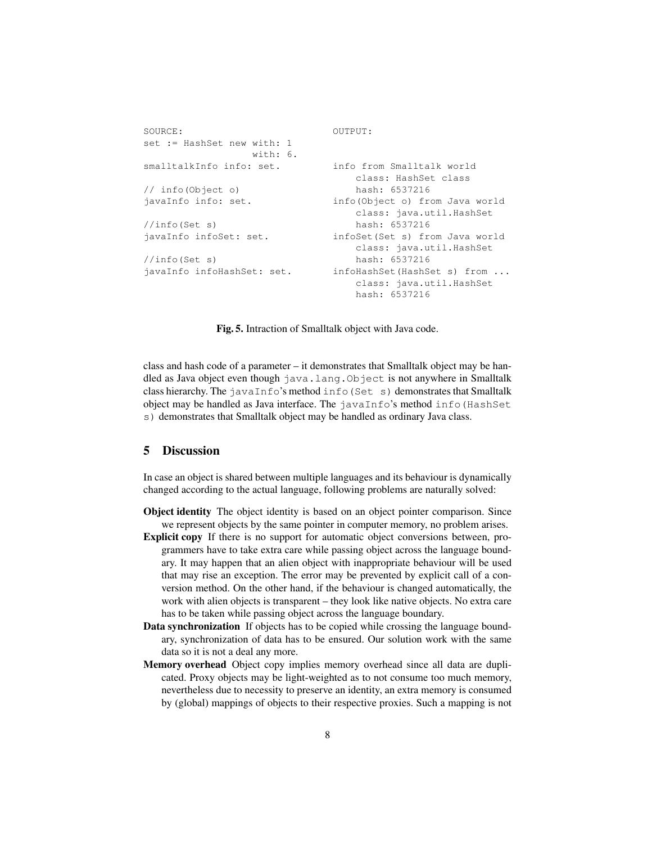```
SOURCE:
set := HashSet new with: 1
              with: 6.
smalltalkInfo info: set.
// info(Object o)
javaInfo info: set.
//info(Set s)
javaInfo infoSet: set.
//info(Set s)
javaInfo infoHashSet: set. infoHashSet(HashSet s) from ...
                               OUTPUT:
                              info from Smalltalk world
                                  class: HashSet class
                                  hash: 6537216
                             info(Object o) from Java world
                                  class: java.util.HashSet
                                   hash: 6537216
                              infoSet(Set s) from Java world
                                   class: java.util.HashSet
                                   hash: 6537216
                                  class: java.util.HashSet
                                   hash: 6537216
```
<span id="page-7-1"></span>Fig. 5. Intraction of Smalltalk object with Java code.

class and hash code of a parameter – it demonstrates that Smalltalk object may be handled as Java object even though java.lang.Object is not anywhere in Smalltalk class hierarchy. The javaInfo's method info(Set s) demonstrates that Smalltalk object may be handled as Java interface. The javaInfo's method info(HashSet s) demonstrates that Smalltalk object may be handled as ordinary Java class.

# <span id="page-7-0"></span>5 Discussion

In case an object is shared between multiple languages and its behaviour is dynamically changed according to the actual language, following problems are naturally solved:

- Object identity The object identity is based on an object pointer comparison. Since we represent objects by the same pointer in computer memory, no problem arises.
- Explicit copy If there is no support for automatic object conversions between, programmers have to take extra care while passing object across the language boundary. It may happen that an alien object with inappropriate behaviour will be used that may rise an exception. The error may be prevented by explicit call of a conversion method. On the other hand, if the behaviour is changed automatically, the work with alien objects is transparent – they look like native objects. No extra care has to be taken while passing object across the language boundary.
- Data synchronization If objects has to be copied while crossing the language boundary, synchronization of data has to be ensured. Our solution work with the same data so it is not a deal any more.
- Memory overhead Object copy implies memory overhead since all data are duplicated. Proxy objects may be light-weighted as to not consume too much memory, nevertheless due to necessity to preserve an identity, an extra memory is consumed by (global) mappings of objects to their respective proxies. Such a mapping is not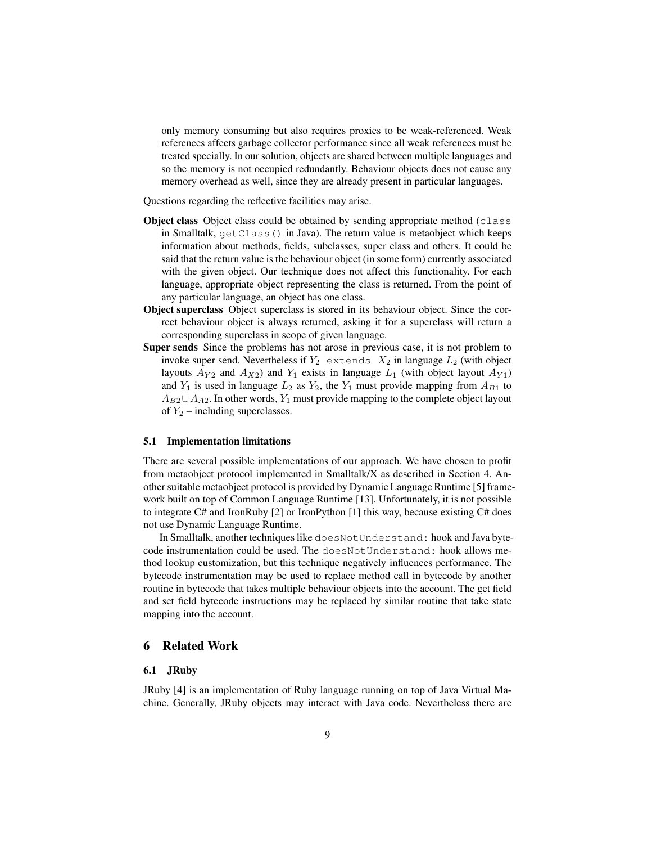only memory consuming but also requires proxies to be weak-referenced. Weak references affects garbage collector performance since all weak references must be treated specially. In our solution, objects are shared between multiple languages and so the memory is not occupied redundantly. Behaviour objects does not cause any memory overhead as well, since they are already present in particular languages.

Questions regarding the reflective facilities may arise.

- **Object class** Object class could be obtained by sending appropriate method  $(c\text{lass}$ in Smalltalk,  $qetClass()$  in Java). The return value is metaobject which keeps information about methods, fields, subclasses, super class and others. It could be said that the return value is the behaviour object (in some form) currently associated with the given object. Our technique does not affect this functionality. For each language, appropriate object representing the class is returned. From the point of any particular language, an object has one class.
- Object superclass Object superclass is stored in its behaviour object. Since the correct behaviour object is always returned, asking it for a superclass will return a corresponding superclass in scope of given language.
- Super sends Since the problems has not arose in previous case, it is not problem to invoke super send. Nevertheless if  $Y_2$  extends  $X_2$  in language  $L_2$  (with object layouts  $A_{Y2}$  and  $A_{X2}$ ) and  $Y_1$  exists in language  $L_1$  (with object layout  $A_{Y1}$ ) and  $Y_1$  is used in language  $L_2$  as  $Y_2$ , the  $Y_1$  must provide mapping from  $A_{B1}$  to  $A_{B2} \cup A_{A2}$ . In other words, Y<sub>1</sub> must provide mapping to the complete object layout of  $Y_2$  – including superclasses.

#### 5.1 Implementation limitations

There are several possible implementations of our approach. We have chosen to profit from metaobject protocol implemented in Smalltalk/X as described in Section [4.](#page-5-0) Another suitable metaobject protocol is provided by Dynamic Language Runtime [\[5\]](#page-11-7) framework built on top of Common Language Runtime [\[13\]](#page-11-8). Unfortunately, it is not possible to integrate C# and IronRuby [\[2\]](#page-11-9) or IronPython [\[1\]](#page-11-10) this way, because existing C# does not use Dynamic Language Runtime.

In Smalltalk, another techniques like doesNotUnderstand: hook and Java bytecode instrumentation could be used. The doesNotUnderstand: hook allows method lookup customization, but this technique negatively influences performance. The bytecode instrumentation may be used to replace method call in bytecode by another routine in bytecode that takes multiple behaviour objects into the account. The get field and set field bytecode instructions may be replaced by similar routine that take state mapping into the account.

### <span id="page-8-0"></span>6 Related Work

### 6.1 JRuby

JRuby [\[4\]](#page-11-11) is an implementation of Ruby language running on top of Java Virtual Machine. Generally, JRuby objects may interact with Java code. Nevertheless there are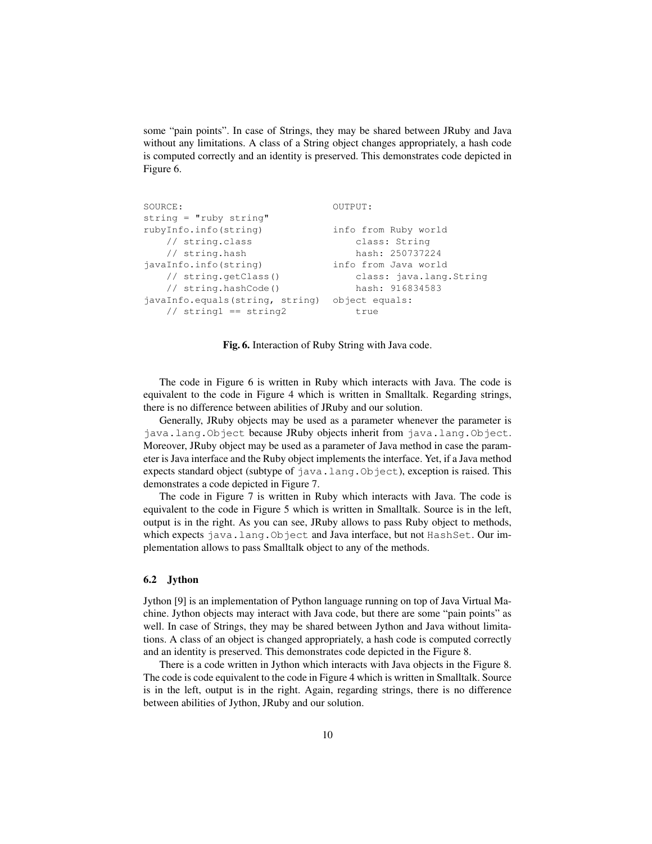some "pain points". In case of Strings, they may be shared between JRuby and Java without any limitations. A class of a String object changes appropriately, a hash code is computed correctly and an identity is preserved. This demonstrates code depicted in Figure [6.](#page-9-0)

```
SOURCE:
string = "ruby string"
rubyInfo.info(string)
    // string.class
   // string.hash
javaInfo.info(string)
    // string.getClass()
   // string.hashCode()
javaInfo.equals(string, string)
object equals:
   // string1 == string2
                                 OUTPUT:
                                 info from Ruby world
                                     class: String
                                     hash: 250737224
                                 info from Java world
                                    class: java.lang.String
                                     hash: 916834583
                                     true
```
<span id="page-9-0"></span>Fig. 6. Interaction of Ruby String with Java code.

The code in Figure [6](#page-9-0) is written in Ruby which interacts with Java. The code is equivalent to the code in Figure [4](#page-6-0) which is written in Smalltalk. Regarding strings, there is no difference between abilities of JRuby and our solution.

Generally, JRuby objects may be used as a parameter whenever the parameter is java.lang.Object because JRuby objects inherit from java.lang.Object. Moreover, JRuby object may be used as a parameter of Java method in case the parameter is Java interface and the Ruby object implements the interface. Yet, if a Java method expects standard object (subtype of java.lang.Object), exception is raised. This demonstrates a code depicted in Figure [7.](#page-10-0)

The code in Figure [7](#page-10-0) is written in Ruby which interacts with Java. The code is equivalent to the code in Figure [5](#page-7-1) which is written in Smalltalk. Source is in the left, output is in the right. As you can see, JRuby allows to pass Ruby object to methods, which expects java.lang.Object and Java interface, but not HashSet. Our implementation allows to pass Smalltalk object to any of the methods.

### 6.2 Jython

Jython [\[9\]](#page-11-12) is an implementation of Python language running on top of Java Virtual Machine. Jython objects may interact with Java code, but there are some "pain points" as well. In case of Strings, they may be shared between Jython and Java without limitations. A class of an object is changed appropriately, a hash code is computed correctly and an identity is preserved. This demonstrates code depicted in the Figure [8.](#page-10-1)

There is a code written in Jython which interacts with Java objects in the Figure [8.](#page-10-1) The code is code equivalent to the code in Figure [4](#page-6-0) which is written in Smalltalk. Source is in the left, output is in the right. Again, regarding strings, there is no difference between abilities of Jython, JRuby and our solution.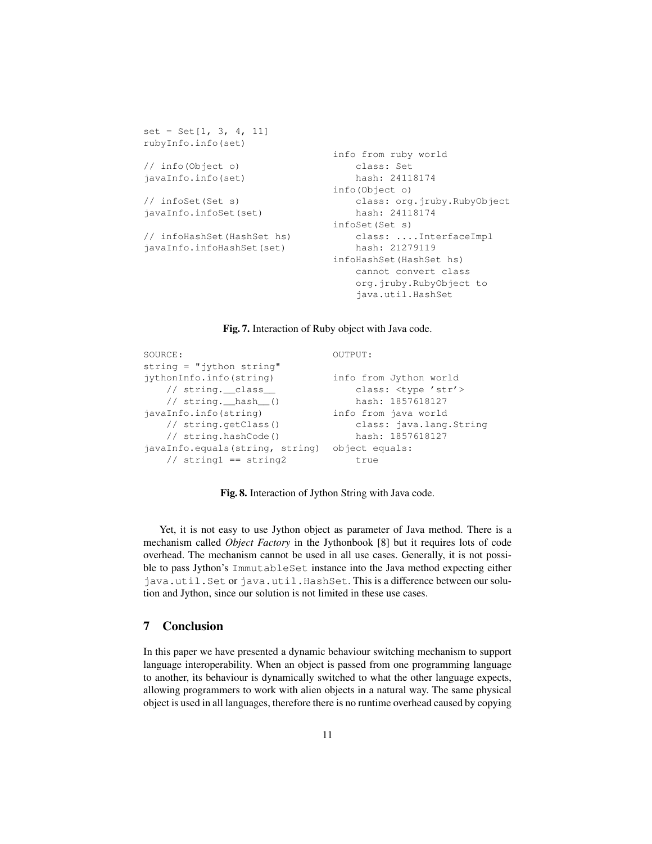$set = Set[1, 3, 4, 11]$ rubyInfo.info(set)

// info(Object o) javaInfo.info(set)

// infoSet(Set s) javaInfo.infoSet(set)

// infoHashSet(HashSet hs) javaInfo.infoHashSet(set)

```
info from ruby world
   class: Set
   hash: 24118174
info(Object o)
   class: org.jruby.RubyObject
    hash: 24118174
infoSet(Set s)
   class: ....InterfaceImpl
    hash: 21279119
infoHashSet(HashSet hs)
   cannot convert class
    org.jruby.RubyObject to
    java.util.HashSet
```
#### <span id="page-10-0"></span>Fig. 7. Interaction of Ruby object with Java code.

```
SOURCE:
string = "jython string"
jythonInfo.info(string)
   // string.__class__
   // string.__hash__()
javaInfo.info(string)
   // string.getClass()
   // string.hashCode()
javaInfo.equals(string, string)
object equals:
   // string1 == string2
                                OUTPUT:
                                info from Jython world
                                class: <type 'str'>
                                   hash: 1857618127
                               info from java world
                                class: java.lang.String
                                   hash: 1857618127
                                    true
```
<span id="page-10-1"></span>Fig. 8. Interaction of Jython String with Java code.

Yet, it is not easy to use Jython object as parameter of Java method. There is a mechanism called *Object Factory* in the Jythonbook [\[8\]](#page-11-13) but it requires lots of code overhead. The mechanism cannot be used in all use cases. Generally, it is not possible to pass Jython's ImmutableSet instance into the Java method expecting either java.util.Set or java.util.HashSet.This is a difference between our solution and Jython, since our solution is not limited in these use cases.

### 7 Conclusion

In this paper we have presented a dynamic behaviour switching mechanism to support language interoperability. When an object is passed from one programming language to another, its behaviour is dynamically switched to what the other language expects, allowing programmers to work with alien objects in a natural way. The same physical object is used in all languages, therefore there is no runtime overhead caused by copying